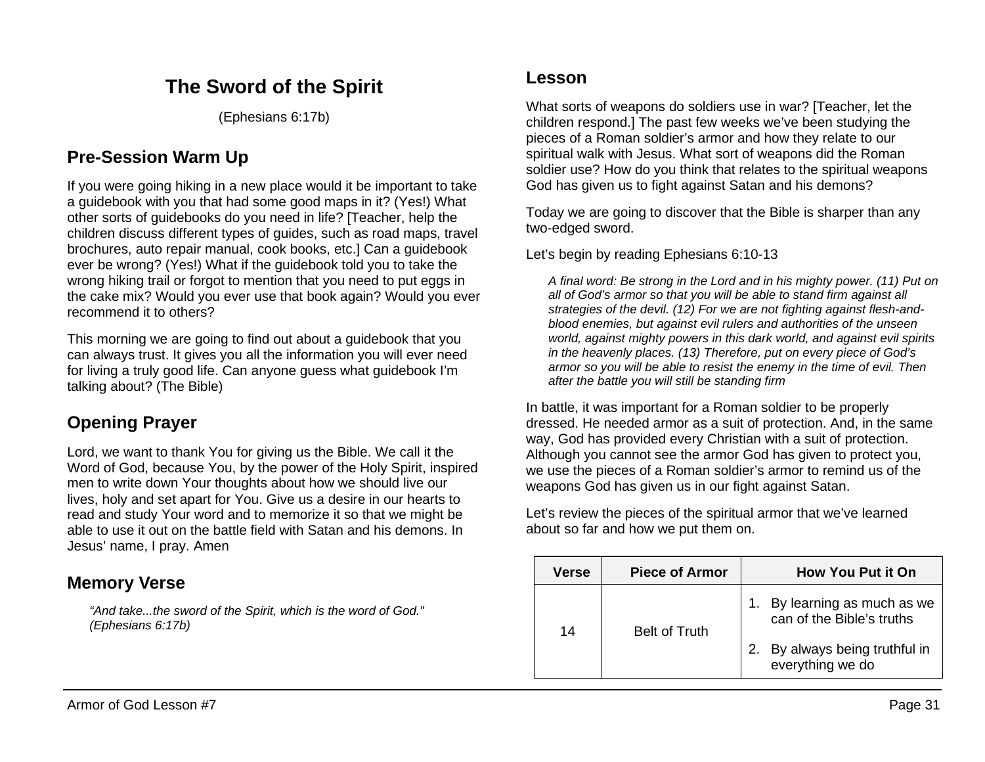# **The Sword of the Spirit**

(Ephesians 6:17b)

## **Pre-Session Warm Up**

If you were going hiking in a new place would it be important to take a guidebook with you that had some good maps in it? (Yes!) What other sorts of guidebooks do you need in life? [Teacher, help the children discuss different types of guides, such as road maps, travel brochures, auto repair manual, cook books, etc.] Can a guidebook ever be wrong? (Yes!) What if the guidebook told you to take the wrong hiking trail or forgot to mention that you need to put eggs in the cake mix? Would you ever use that book again? Would you ever recommend it to others?

This morning we are going to find out about a guidebook that you can always trust. It gives you all the information you will ever need for living a truly good life. Can anyone guess what guidebook I'm talking about? (The Bible)

## **Opening Prayer**

Lord, we want to thank You for giving us the Bible. We call it the Word of God, because You, by the power of the Holy Spirit, inspired men to write down Your thoughts about how we should live our lives, holy and set apart for You. Give us a desire in our hearts to read and study Your word and to memorize it so that we might be able to use it out on the battle field with Satan and his demons. In Jesus' name, I pray. Amen

## **Memory Verse**

*"And take...the sword of the Spirit, which is the word of God." (Ephesians 6:17b)*

### **Lesson**

What sorts of weapons do soldiers use in war? [Teacher, let the children respond.] The past few weeks we've been studying the pieces of a Roman soldier's armor and how they relate to our spiritual walk with Jesus. What sort of weapons did the Roman soldier use? How do you think that relates to the spiritual weapons God has given us to fight against Satan and his demons?

Today we are going to discover that the Bible is sharper than any two-edged sword.

Let's begin by reading Ephesians 6:10-13

*A final word: Be strong in the Lord and in his mighty power. (11) Put on all of God's armor so that you will be able to stand firm against all strategies of the devil. (12) For we are not fighting against flesh-andblood enemies, but against evil rulers and authorities of the unseen world, against mighty powers in this dark world, and against evil spirits in the heavenly places. (13) Therefore, put on every piece of God's armor so you will be able to resist the enemy in the time of evil. Then after the battle you will still be standing firm*

In battle, it was important for a Roman soldier to be properly dressed. He needed armor as a suit of protection. And, in the same way, God has provided every Christian with a suit of protection. Although you cannot see the armor God has given to protect you, we use the pieces of a Roman soldier's armor to remind us of the weapons God has given us in our fight against Satan.

Let's review the pieces of the spiritual armor that we've learned about so far and how we put them on.

| Verse | <b>Piece of Armor</b> | <b>How You Put it On</b>                               |
|-------|-----------------------|--------------------------------------------------------|
| 14    | <b>Belt of Truth</b>  | By learning as much as we<br>can of the Bible's truths |
|       |                       | By always being truthful in<br>everything we do        |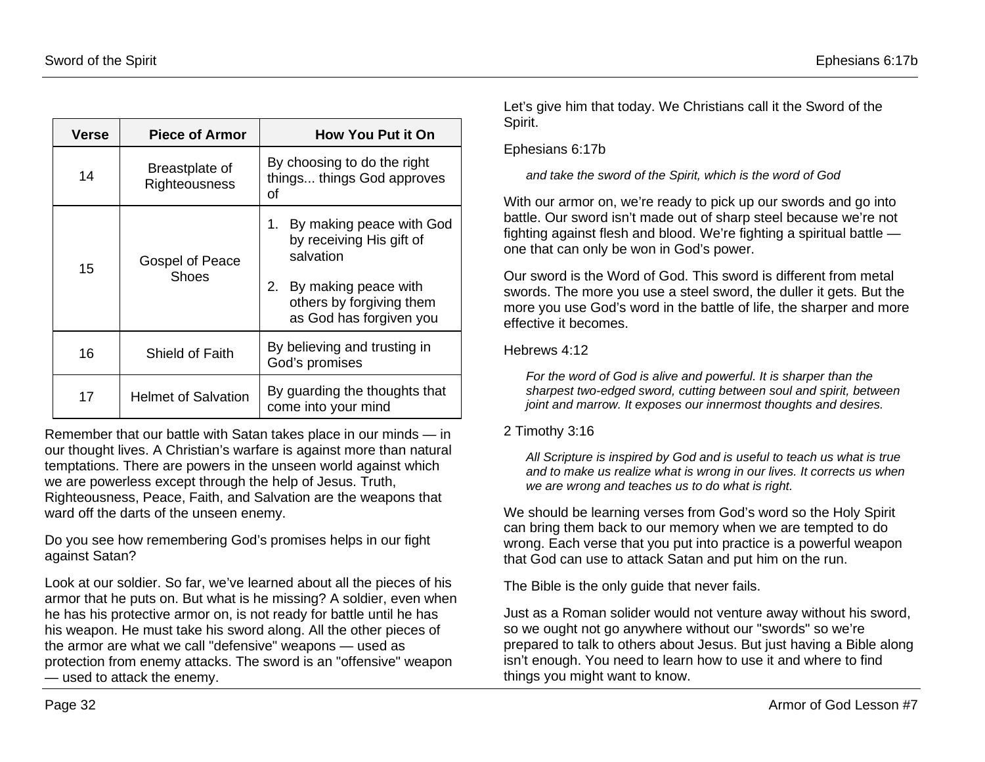| Verse | <b>Piece of Armor</b>           | <b>How You Put it On</b>                                                                                                                                     |  |
|-------|---------------------------------|--------------------------------------------------------------------------------------------------------------------------------------------------------------|--|
| 14    | Breastplate of<br>Righteousness | By choosing to do the right<br>things things God approves<br>οf                                                                                              |  |
| 15    | Gospel of Peace<br>Shoes        | By making peace with God<br>1.<br>by receiving His gift of<br>salvation<br>2.<br>By making peace with<br>others by forgiving them<br>as God has forgiven you |  |
| 16    | Shield of Faith                 | By believing and trusting in<br>God's promises                                                                                                               |  |
| 17    | <b>Helmet of Salvation</b>      | By guarding the thoughts that<br>come into your mind                                                                                                         |  |

Remember that our battle with Satan takes place in our minds — in our thought lives. A Christian's warfare is against more than natural temptations. There are powers in the unseen world against which we are powerless except through the help of Jesus. Truth, Righteousness, Peace, Faith, and Salvation are the weapons that ward off the darts of the unseen enemy.

Do you see how remembering God's promises helps in our fight against Satan?

Look at our soldier. So far, we've learned about all the pieces of his armor that he puts on. But what is he missing? A soldier, even when he has his protective armor on, is not ready for battle until he has his weapon. He must take his sword along. All the other pieces of the armor are what we call "defensive" weapons — used as protection from enemy attacks. The sword is an "offensive" weapon — used to attack the enemy.

Let's give him that today. We Christians call it the Sword of the Spirit.

#### Ephesians 6:17b

*and take the sword of the Spirit, which is the word of God*

With our armor on, we're ready to pick up our swords and go into battle. Our sword isn't made out of sharp steel because we're not fighting against flesh and blood. We're fighting a spiritual battle one that can only be won in God's power.

Our sword is the Word of God. This sword is different from metal swords. The more you use a steel sword, the duller it gets. But the more you use God's word in the battle of life, the sharper and more effective it becomes.

#### Hebrews 4:12

*For the word of God is alive and powerful. It is sharper than the sharpest two-edged sword, cutting between soul and spirit, between joint and marrow. It exposes our innermost thoughts and desires.*

#### 2 Timothy 3:16

*All Scripture is inspired by God and is useful to teach us what is true and to make us realize what is wrong in our lives. It corrects us when we are wrong and teaches us to do what is right.*

We should be learning verses from God's word so the Holy Spirit can bring them back to our memory when we are tempted to do wrong. Each verse that you put into practice is a powerful weapon that God can use to attack Satan and put him on the run.

The Bible is the only guide that never fails.

Just as a Roman solider would not venture away without his sword, so we ought not go anywhere without our "swords" so we're prepared to talk to others about Jesus. But just having a Bible along isn't enough. You need to learn how to use it and where to find things you might want to know.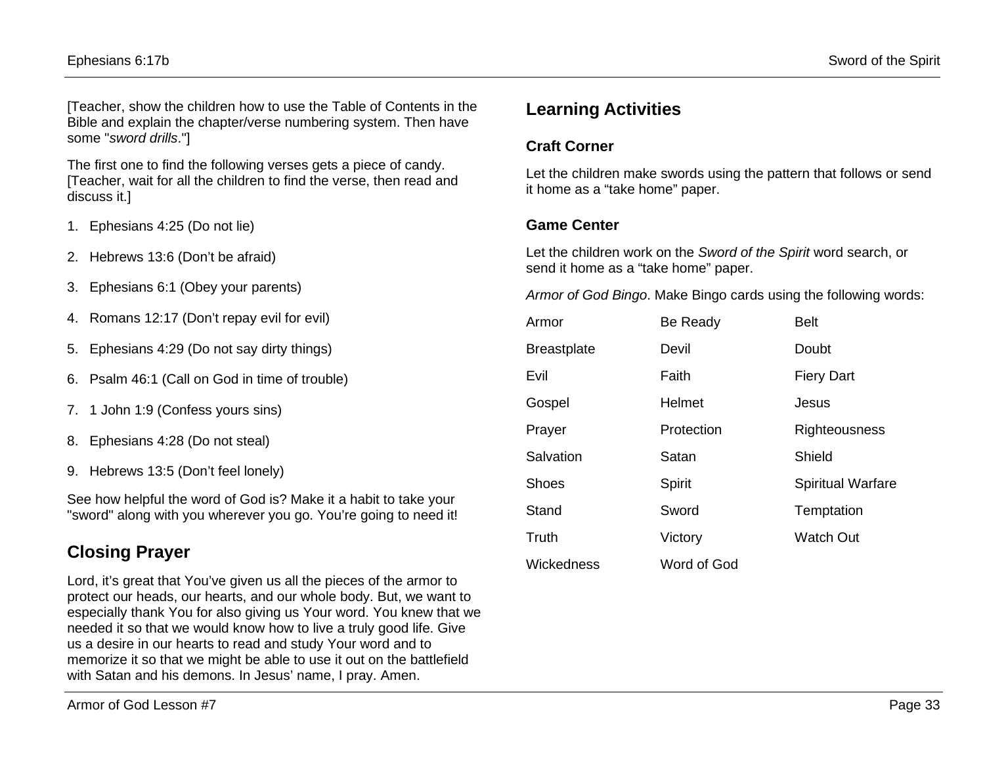[Teacher, show the children how to use the Table of Contents in the Bible and explain the chapter/verse numbering system. Then have some "*sword drills*."]

The first one to find the following verses gets a piece of candy. [Teacher, wait for all the children to find the verse, then read and discuss it.]

- 1. Ephesians 4:25 (Do not lie)
- 2. Hebrews 13:6 (Don't be afraid)
- 3. Ephesians 6:1 (Obey your parents)
- 4. Romans 12:17 (Don't repay evil for evil)
- 5. Ephesians 4:29 (Do not say dirty things)
- 6. Psalm 46:1 (Call on God in time of trouble)
- 7. 1 John 1:9 (Confess yours sins)
- 8. Ephesians 4:28 (Do not steal)
- 9. Hebrews 13:5 (Don't feel lonely)

See how helpful the word of God is? Make it a habit to take your "sword" along with you wherever you go. You're going to need it!

# **Closing Prayer**

Lord, it's great that You've given us all the pieces of the armor to protect our heads, our hearts, and our whole body. But, we want to especially thank You for also giving us Your word. You knew that we needed it so that we would know how to live a truly good life. Give us a desire in our hearts to read and study Your word and to memorize it so that we might be able to use it out on the battlefield with Satan and his demons. In Jesus' name, I pray. Amen.

### **Craft Corner**

Let the children make swords using the pattern that follows or send it home as a "take home" paper.

### **Game Center**

Let the children work on the *Sword of the Spirit* word search, or send it home as a "take home" paper.

*Armor of God Bingo*. Make Bingo cards using the following words:

| Armor              | Be Ready    | <b>Belt</b>              |  |
|--------------------|-------------|--------------------------|--|
| <b>Breastplate</b> | Devil       | Doubt                    |  |
| Evil               | Faith       | <b>Fiery Dart</b>        |  |
| Gospel             | Helmet      | Jesus                    |  |
| Prayer             | Protection  | Righteousness            |  |
| Salvation          | Satan       | Shield                   |  |
| <b>Shoes</b>       | Spirit      | <b>Spiritual Warfare</b> |  |
| Stand              | Sword       | Temptation               |  |
| Truth              | Victory     | <b>Watch Out</b>         |  |
| Wickedness         | Word of God |                          |  |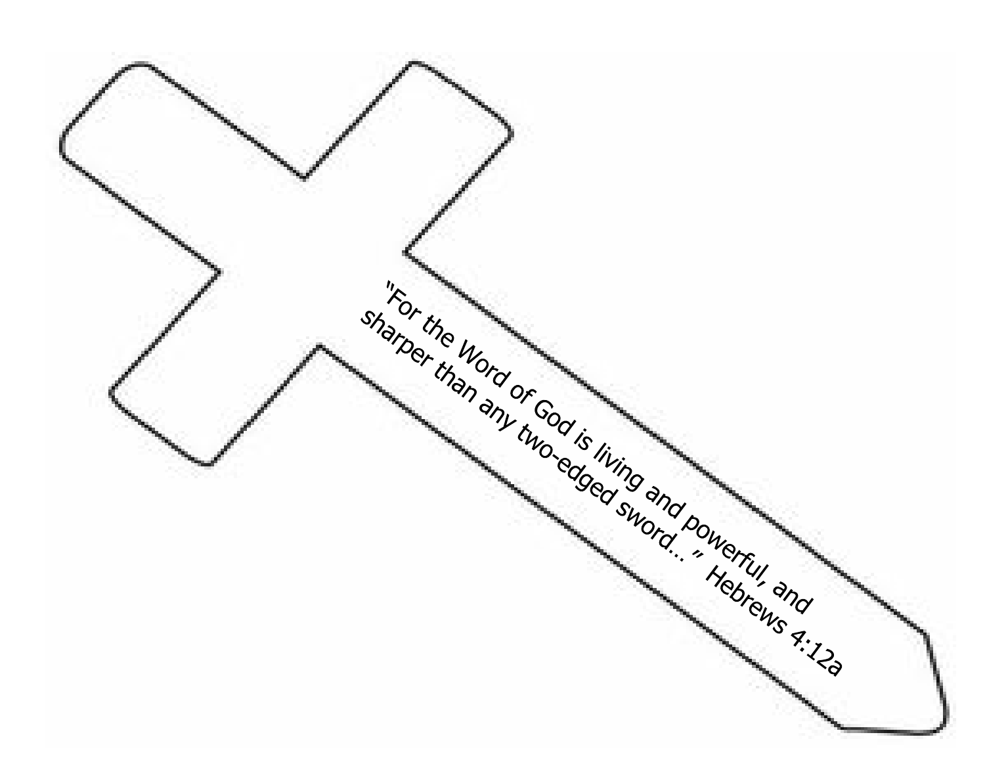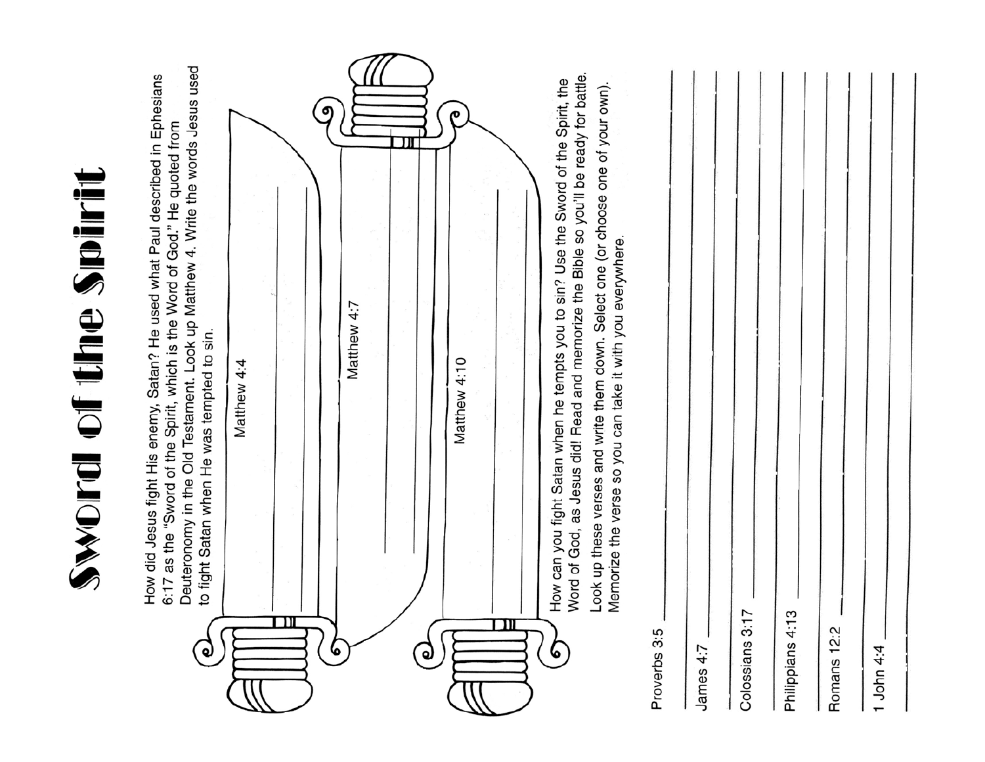| Word of God, as Jesus did! Read and memorize the Bible so you'll be ready for battle.<br>How can you fight Satan when he tempts you to sin? Use the Sword of the Spirit, the<br>Look up these verses and write them down. Select one (or choose one of your own).<br>Memorize the verse so you can take it with you everywhere.<br>Colossians 3:17<br>4:13<br>Romans 12:2<br>Proverbs 3:5<br>Philippians<br>James 4:7 | Matthew 4:10<br>Q) | Matthew 4:7 | Deuteronomy in the Old Testament. Look up Matthew 4. Write the words Jesus used<br>to fight Satan when He was tempted to sin.<br>Matthew 4:4<br>൮ | How did Jesus fight His enemy, Satan? He used what Paul described in Ephesians<br>6:17 as the "Sword of the Spirit, which is the Word of God." He quoted from<br>Sword of the Smirit |
|-----------------------------------------------------------------------------------------------------------------------------------------------------------------------------------------------------------------------------------------------------------------------------------------------------------------------------------------------------------------------------------------------------------------------|--------------------|-------------|---------------------------------------------------------------------------------------------------------------------------------------------------|--------------------------------------------------------------------------------------------------------------------------------------------------------------------------------------|
|-----------------------------------------------------------------------------------------------------------------------------------------------------------------------------------------------------------------------------------------------------------------------------------------------------------------------------------------------------------------------------------------------------------------------|--------------------|-------------|---------------------------------------------------------------------------------------------------------------------------------------------------|--------------------------------------------------------------------------------------------------------------------------------------------------------------------------------------|